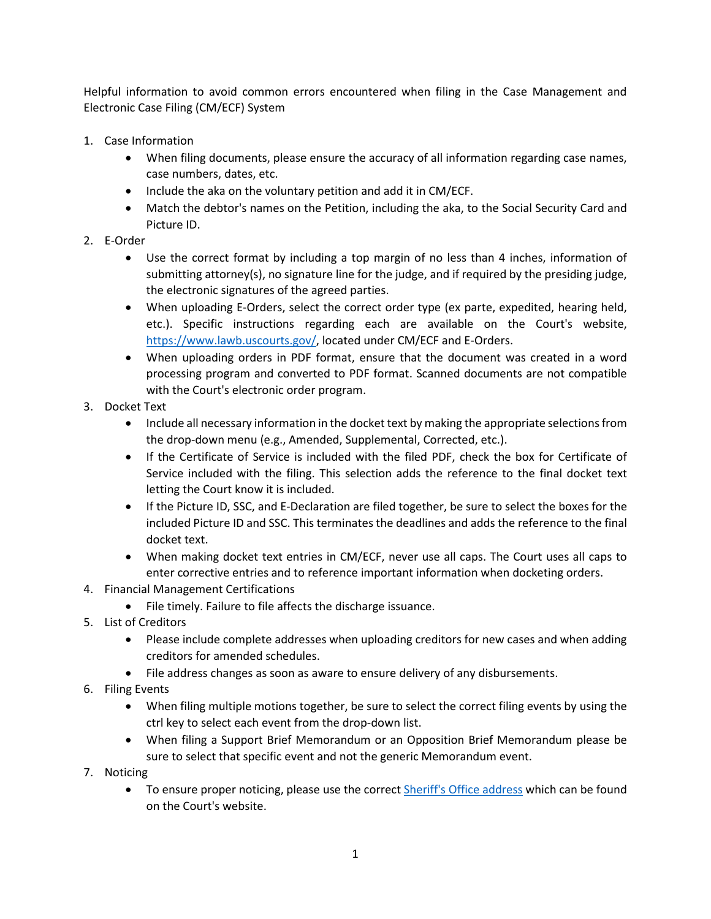Helpful information to avoid common errors encountered when filing in the Case Management and Electronic Case Filing (CM/ECF) System

- 1. Case Information
	- When filing documents, please ensure the accuracy of all information regarding case names, case numbers, dates, etc.
	- Include the aka on the voluntary petition and add it in CM/ECF.
	- Match the debtor's names on the Petition, including the aka, to the Social Security Card and Picture ID.
- 2. E-Order
	- Use the correct format by including a top margin of no less than 4 inches, information of submitting attorney(s), no signature line for the judge, and if required by the presiding judge, the electronic signatures of the agreed parties.
	- When uploading E-Orders, select the correct order type (ex parte, expedited, hearing held, etc.). Specific instructions regarding each are available on the Court's website, [https://www.lawb.uscourts.gov/,](https://www.lawb.uscourts.gov/) located under CM/ECF and E-Orders.
	- When uploading orders in PDF format, ensure that the document was created in a word processing program and converted to PDF format. Scanned documents are not compatible with the Court's electronic order program.
- 3. Docket Text
	- Include all necessary information in the docket text by making the appropriate selections from the drop-down menu (e.g., Amended, Supplemental, Corrected, etc.).
	- If the Certificate of Service is included with the filed PDF, check the box for Certificate of Service included with the filing. This selection adds the reference to the final docket text letting the Court know it is included.
	- If the Picture ID, SSC, and E-Declaration are filed together, be sure to select the boxes for the included Picture ID and SSC. This terminates the deadlines and adds the reference to the final docket text.
	- When making docket text entries in CM/ECF, never use all caps. The Court uses all caps to enter corrective entries and to reference important information when docketing orders.
- 4. Financial Management Certifications
	- File timely. Failure to file affects the discharge issuance.
- 5. List of Creditors
	- Please include complete addresses when uploading creditors for new cases and when adding creditors for amended schedules.
	- File address changes as soon as aware to ensure delivery of any disbursements.
- 6. Filing Events
	- When filing multiple motions together, be sure to select the correct filing events by using the ctrl key to select each event from the drop-down list.
	- When filing a Support Brief Memorandum or an Opposition Brief Memorandum please be sure to select that specific event and not the generic Memorandum event.
- 7. Noticing
	- To ensure proper noticing, please use the correct **Sheriff's Office address** which can be found on the Court's website.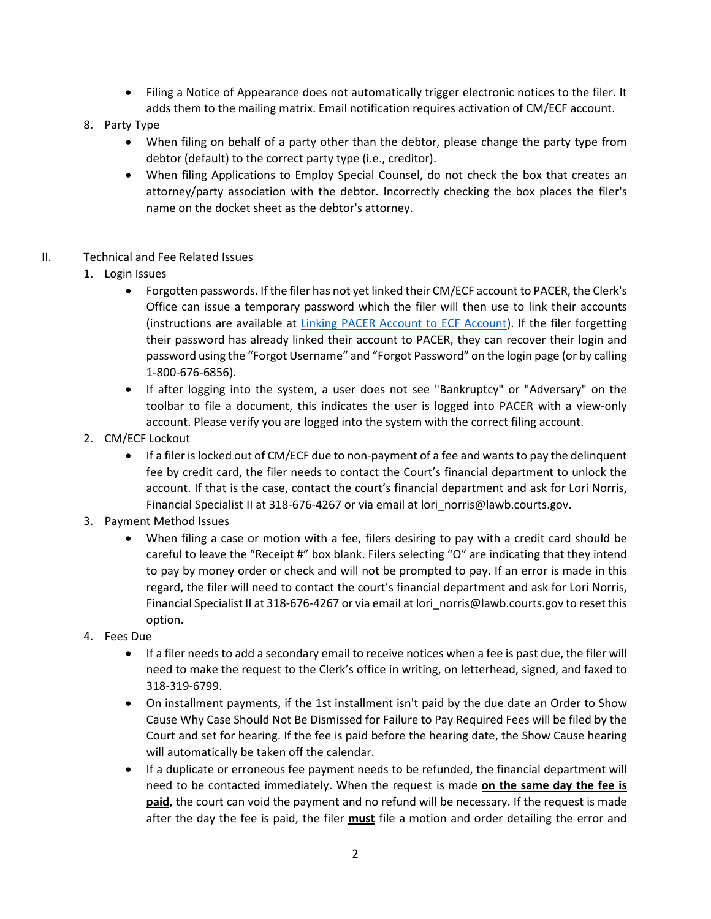- Filing a Notice of Appearance does not automatically trigger electronic notices to the filer. It adds them to the mailing matrix. Email notification requires activation of CM/ECF account.
- 8. Party Type
	- When filing on behalf of a party other than the debtor, please change the party type from debtor (default) to the correct party type (i.e., creditor).
	- When filing Applications to Employ Special Counsel, do not check the box that creates an attorney/party association with the debtor. Incorrectly checking the box places the filer's name on the docket sheet as the debtor's attorney.
- II. Technical and Fee Related Issues
	- 1. Login Issues
		- Forgotten passwords. If the filer has not yet linked their CM/ECF account to PACER, the Clerk's Office can issue a temporary password which the filer will then use to link their accounts (instructions are available at [Linking PACER Account to ECF Account\)](https://www.lawb.uscourts.gov/sites/lawb/files/NextGen_%20Linking_PACER_account_to_ECF_account_0.pdf). If the filer forgetting their password has already linked their account to PACER, they can recover their login and password using the "Forgot Username" and "Forgot Password" on the login page (or by calling 1-800-676-6856).
		- If after logging into the system, a user does not see "Bankruptcy" or "Adversary" on the toolbar to file a document, this indicates the user is logged into PACER with a view-only account. Please verify you are logged into the system with the correct filing account.
	- 2. CM/ECF Lockout
		- If a filer is locked out of CM/ECF due to non-payment of a fee and wants to pay the delinguent fee by credit card, the filer needs to contact the Court's financial department to unlock the account. If that is the case, contact the court's financial department and ask for Lori Norris, Financial Specialist II at 318-676-4267 or via email at lori norris@lawb.courts.gov.
	- 3. Payment Method Issues
		- When filing a case or motion with a fee, filers desiring to pay with a credit card should be careful to leave the "Receipt #" box blank. Filers selecting "O" are indicating that they intend to pay by money order or check and will not be prompted to pay. If an error is made in this regard, the filer will need to contact the court's financial department and ask for Lori Norris, Financial Specialist II at 318-676-4267 or via email at lori\_norris@lawb.courts.gov to reset this option.
	- 4. Fees Due
		- If a filer needs to add a secondary email to receive notices when a fee is past due, the filer will need to make the request to the Clerk's office in writing, on letterhead, signed, and faxed to 318-319-6799.
		- On installment payments, if the 1st installment isn't paid by the due date an Order to Show Cause Why Case Should Not Be Dismissed for Failure to Pay Required Fees will be filed by the Court and set for hearing. If the fee is paid before the hearing date, the Show Cause hearing will automatically be taken off the calendar.
		- If a duplicate or erroneous fee payment needs to be refunded, the financial department will need to be contacted immediately. When the request is made **on the same day the fee is paid,** the court can void the payment and no refund will be necessary. If the request is made after the day the fee is paid, the filer **must** file a motion and order detailing the error and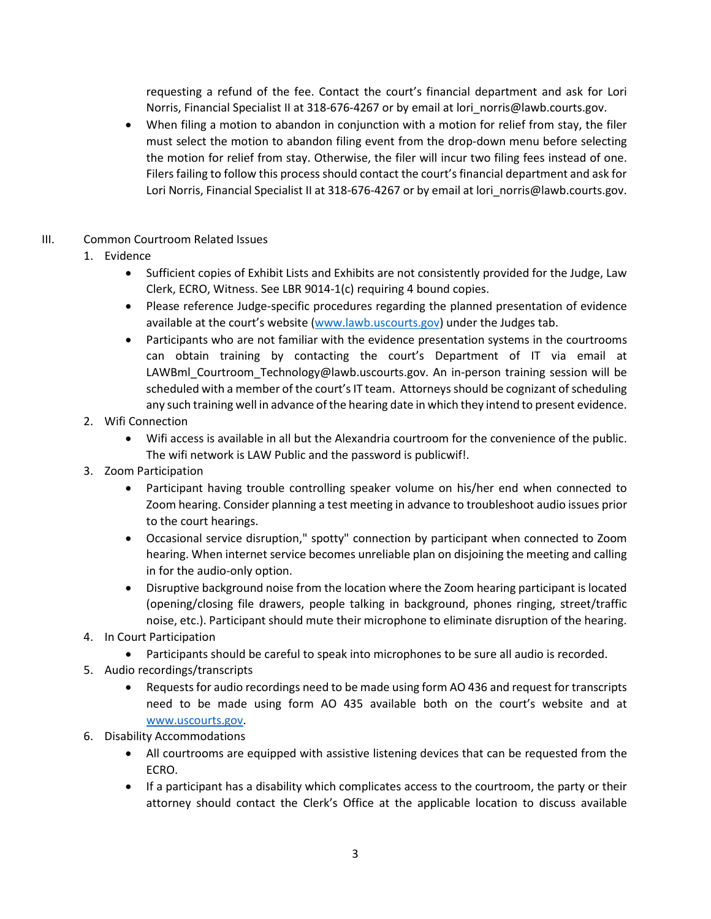requesting a refund of the fee. Contact the court's financial department and ask for Lori Norris, Financial Specialist II at 318-676-4267 or by email at lori\_norris@lawb.courts.gov.

• When filing a motion to abandon in conjunction with a motion for relief from stay, the filer must select the motion to abandon filing event from the drop-down menu before selecting the motion for relief from stay. Otherwise, the filer will incur two filing fees instead of one. Filers failing to follow this process should contact the court's financial department and ask for Lori Norris, Financial Specialist II at 318-676-4267 or by email at lori\_norris@lawb.courts.gov.

## III. Common Courtroom Related Issues

- 1. Evidence
	- Sufficient copies of Exhibit Lists and Exhibits are not consistently provided for the Judge, Law Clerk, ECRO, Witness. See LBR 9014-1(c) requiring 4 bound copies.
	- Please reference Judge-specific procedures regarding the planned presentation of evidence available at the court's website (www.lawb.uscourts.gov) under the Judges tab.
	- Participants who are not familiar with the evidence presentation systems in the courtrooms can obtain training by contacting the court's Department of IT via email at LAWBml\_Courtroom\_Technology@lawb.uscourts.gov. An in-person training session will be scheduled with a member of the court's IT team. Attorneys should be cognizant of scheduling any such training well in advance of the hearing date in which they intend to present evidence.
- 2. Wifi Connection
	- Wifi access is available in all but the Alexandria courtroom for the convenience of the public. The wifi network is LAW Public and the password is publicwif!.
- 3. Zoom Participation
	- Participant having trouble controlling speaker volume on his/her end when connected to Zoom hearing. Consider planning a test meeting in advance to troubleshoot audio issues prior to the court hearings.
	- Occasional service disruption," spotty" connection by participant when connected to Zoom hearing. When internet service becomes unreliable plan on disjoining the meeting and calling in for the audio-only option.
	- Disruptive background noise from the location where the Zoom hearing participant is located (opening/closing file drawers, people talking in background, phones ringing, street/traffic noise, etc.). Participant should mute their microphone to eliminate disruption of the hearing.
- 4. In Court Participation
	- Participants should be careful to speak into microphones to be sure all audio is recorded.
- 5. Audio recordings/transcripts
	- Requests for audio recordings need to be made using form AO 436 and request for transcripts need to be made using form AO 435 available both on the court's website and at [www.uscourts.gov.](http://www.uscourts.gov/)
- 6. Disability Accommodations
	- All courtrooms are equipped with assistive listening devices that can be requested from the ECRO.
	- If a participant has a disability which complicates access to the courtroom, the party or their attorney should contact the Clerk's Office at the applicable location to discuss available